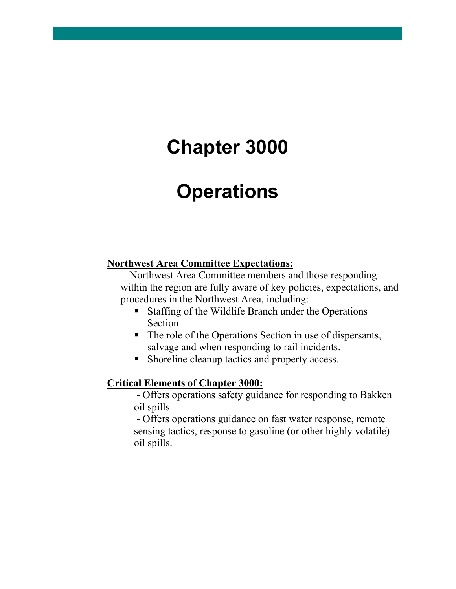# **Chapter 3000**

# **Operations**

# **Northwest Area Committee Expectations:**

- Northwest Area Committee members and those responding within the region are fully aware of key policies, expectations, and procedures in the Northwest Area, including:

- Staffing of the Wildlife Branch under the Operations Section.
- The role of the Operations Section in use of dispersants, salvage and when responding to rail incidents.
- Shoreline cleanup tactics and property access.

# **Critical Elements of Chapter 3000:**

- Offers operations safety guidance for responding to Bakken oil spills.

- Offers operations guidance on fast water response, remote sensing tactics, response to gasoline (or other highly volatile) oil spills.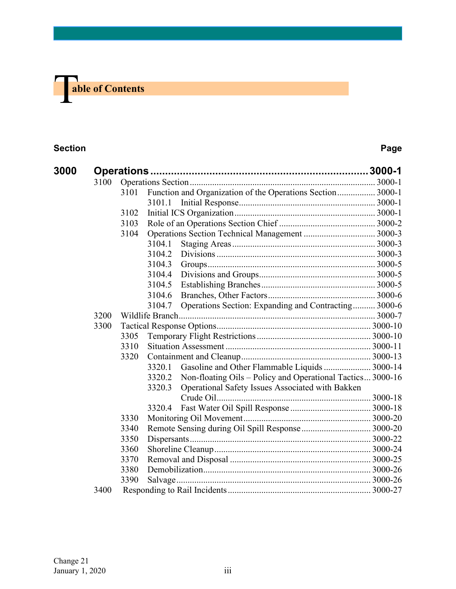# **The able of Contents**

# **Section Page**

| 3000 |      |      |                                                            |                                                            |  |
|------|------|------|------------------------------------------------------------|------------------------------------------------------------|--|
|      | 3100 |      |                                                            |                                                            |  |
|      |      | 3101 | Function and Organization of the Operations Section 3000-1 |                                                            |  |
|      |      |      | 3101.1                                                     |                                                            |  |
|      |      | 3102 |                                                            |                                                            |  |
|      |      | 3103 |                                                            |                                                            |  |
|      |      | 3104 |                                                            |                                                            |  |
|      |      |      | 3104.1                                                     |                                                            |  |
|      |      |      | 3104.2                                                     |                                                            |  |
|      |      |      | 3104.3                                                     |                                                            |  |
|      |      |      | 3104.4                                                     |                                                            |  |
|      |      |      | 3104.5                                                     |                                                            |  |
|      |      |      | 3104.6                                                     |                                                            |  |
|      |      |      | 3104.7                                                     | Operations Section: Expanding and Contracting 3000-6       |  |
|      | 3200 |      |                                                            |                                                            |  |
|      | 3300 |      |                                                            |                                                            |  |
|      |      | 3305 |                                                            |                                                            |  |
|      |      | 3310 |                                                            |                                                            |  |
|      |      | 3320 |                                                            |                                                            |  |
|      |      |      | 3320.1                                                     | Gasoline and Other Flammable Liquids  3000-14              |  |
|      |      |      | 3320.2                                                     | Non-floating Oils – Policy and Operational Tactics 3000-16 |  |
|      |      |      | 3320.3                                                     | Operational Safety Issues Associated with Bakken           |  |
|      |      |      |                                                            |                                                            |  |
|      |      |      | 3320.4                                                     |                                                            |  |
|      |      | 3330 |                                                            |                                                            |  |
|      |      | 3340 | Remote Sensing during Oil Spill Response  3000-20          |                                                            |  |
|      |      | 3350 |                                                            |                                                            |  |
|      |      | 3360 |                                                            |                                                            |  |
|      |      | 3370 |                                                            |                                                            |  |
|      |      | 3380 |                                                            |                                                            |  |
|      |      | 3390 |                                                            |                                                            |  |
|      | 3400 |      |                                                            |                                                            |  |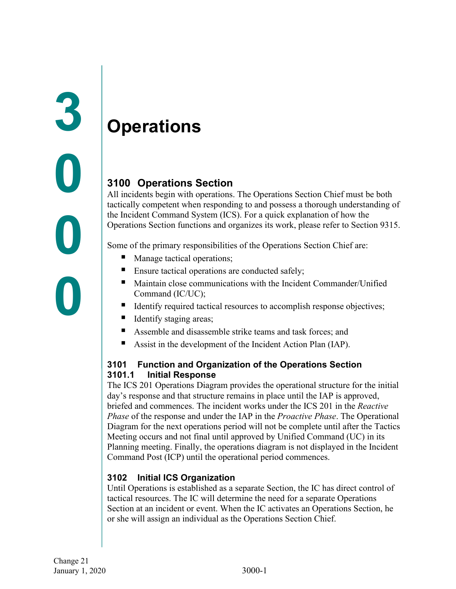# <span id="page-2-1"></span><span id="page-2-0"></span>**Operations**

# <span id="page-2-2"></span>**3100 Operations Section**

All incidents begin with operations. The Operations Section Chief must be both tactically competent when responding to and possess a thorough understanding of the Incident Command System (ICS). For a quick explanation of how the Operations Section functions and organizes its work, please refer to Section 9315.

Some of the primary responsibilities of the Operations Section Chief are:

- Manage tactical operations;
- Ensure tactical operations are conducted safely;
- Maintain close communications with the Incident Commander/Unified Command (IC/UC);
- Identify required tactical resources to accomplish response objectives;
- Identify staging areas;
- Assemble and disassemble strike teams and task forces; and
- Assist in the development of the Incident Action Plan (IAP).

# <span id="page-2-4"></span><span id="page-2-3"></span>**3101 Function and Organization of the Operations Section 3101.1 Initial Response**

The ICS 201 Operations Diagram provides the operational structure for the initial day's response and that structure remains in place until the IAP is approved, briefed and commences. The incident works under the ICS 201 in the *Reactive Phase* of the response and under the IAP in the *Proactive Phase*. The Operational Diagram for the next operations period will not be complete until after the Tactics Meeting occurs and not final until approved by Unified Command (UC) in its Planning meeting. Finally, the operations diagram is not displayed in the Incident Command Post (ICP) until the operational period commences.

# <span id="page-2-5"></span>**3102 Initial ICS Organization**

Until Operations is established as a separate Section, the IC has direct control of tactical resources. The IC will determine the need for a separate Operations Section at an incident or event. When the IC activates an Operations Section, he or she will assign an individual as the Operations Section Chief.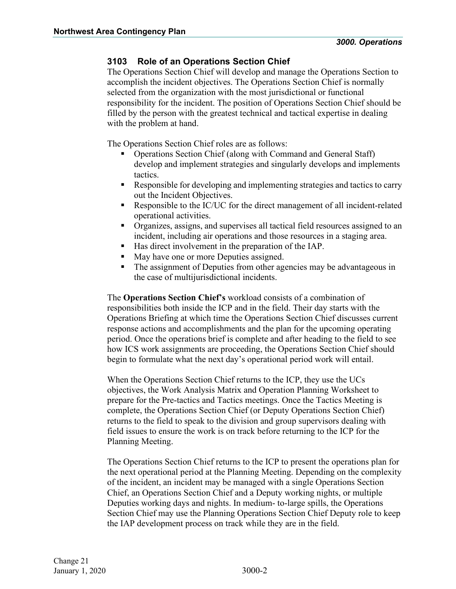# <span id="page-3-0"></span>**3103 Role of an Operations Section Chief**

The Operations Section Chief will develop and manage the Operations Section to accomplish the incident objectives. The Operations Section Chief is normally selected from the organization with the most jurisdictional or functional responsibility for the incident. The position of Operations Section Chief should be filled by the person with the greatest technical and tactical expertise in dealing with the problem at hand.

The Operations Section Chief roles are as follows:

- Operations Section Chief (along with Command and General Staff) develop and implement strategies and singularly develops and implements tactics.
- Responsible for developing and implementing strategies and tactics to carry out the Incident Objectives.
- Responsible to the IC/UC for the direct management of all incident-related operational activities.
- Organizes, assigns, and supervises all tactical field resources assigned to an incident, including air operations and those resources in a staging area.
- Has direct involvement in the preparation of the IAP.
- May have one or more Deputies assigned.
- The assignment of Deputies from other agencies may be advantageous in the case of multijurisdictional incidents.

The **Operations Section Chief's** workload consists of a combination of responsibilities both inside the ICP and in the field. Their day starts with the Operations Briefing at which time the Operations Section Chief discusses current response actions and accomplishments and the plan for the upcoming operating period. Once the operations brief is complete and after heading to the field to see how ICS work assignments are proceeding, the Operations Section Chief should begin to formulate what the next day's operational period work will entail.

When the Operations Section Chief returns to the ICP, they use the UCs objectives, the Work Analysis Matrix and Operation Planning Worksheet to prepare for the Pre-tactics and Tactics meetings. Once the Tactics Meeting is complete, the Operations Section Chief (or Deputy Operations Section Chief) returns to the field to speak to the division and group supervisors dealing with field issues to ensure the work is on track before returning to the ICP for the Planning Meeting.

The Operations Section Chief returns to the ICP to present the operations plan for the next operational period at the Planning Meeting. Depending on the complexity of the incident, an incident may be managed with a single Operations Section Chief, an Operations Section Chief and a Deputy working nights, or multiple Deputies working days and nights. In medium- to-large spills, the Operations Section Chief may use the Planning Operations Section Chief Deputy role to keep the IAP development process on track while they are in the field.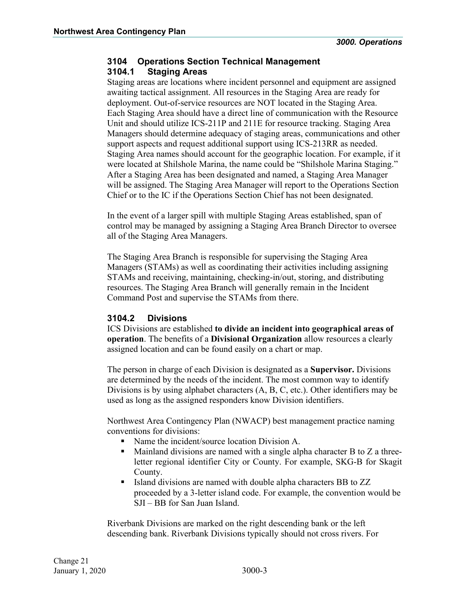# <span id="page-4-1"></span><span id="page-4-0"></span>**3104 Operations Section Technical Management 3104.1 Staging Areas**

Staging areas are locations where incident personnel and equipment are assigned awaiting tactical assignment. All resources in the Staging Area are ready for deployment. Out-of-service resources are NOT located in the Staging Area. Each Staging Area should have a direct line of communication with the Resource Unit and should utilize ICS-211P and 211E for resource tracking. Staging Area Managers should determine adequacy of staging areas, communications and other support aspects and request additional support using ICS-213RR as needed. Staging Area names should account for the geographic location. For example, if it were located at Shilshole Marina, the name could be "Shilshole Marina Staging." After a Staging Area has been designated and named, a Staging Area Manager will be assigned. The Staging Area Manager will report to the Operations Section Chief or to the IC if the Operations Section Chief has not been designated.

In the event of a larger spill with multiple Staging Areas established, span of control may be managed by assigning a Staging Area Branch Director to oversee all of the Staging Area Managers.

The Staging Area Branch is responsible for supervising the Staging Area Managers (STAMs) as well as coordinating their activities including assigning STAMs and receiving, maintaining, checking-in/out, storing, and distributing resources. The Staging Area Branch will generally remain in the Incident Command Post and supervise the STAMs from there.

# <span id="page-4-2"></span>**3104.2 Divisions**

ICS Divisions are established **to divide an incident into geographical areas of operation**. The benefits of a **Divisional Organization** allow resources a clearly assigned location and can be found easily on a chart or map.

The person in charge of each Division is designated as a **Supervisor.** Divisions are determined by the needs of the incident. The most common way to identify Divisions is by using alphabet characters (A, B, C, etc.). Other identifiers may be used as long as the assigned responders know Division identifiers.

Northwest Area Contingency Plan (NWACP) best management practice naming conventions for divisions:

- Name the incident/source location Division A.
- $\blacksquare$  Mainland divisions are named with a single alpha character B to Z a threeletter regional identifier City or County. For example, SKG-B for Skagit County.
- Island divisions are named with double alpha characters BB to ZZ proceeded by a 3-letter island code. For example, the convention would be SJI – BB for San Juan Island.

Riverbank Divisions are marked on the right descending bank or the left descending bank. Riverbank Divisions typically should not cross rivers. For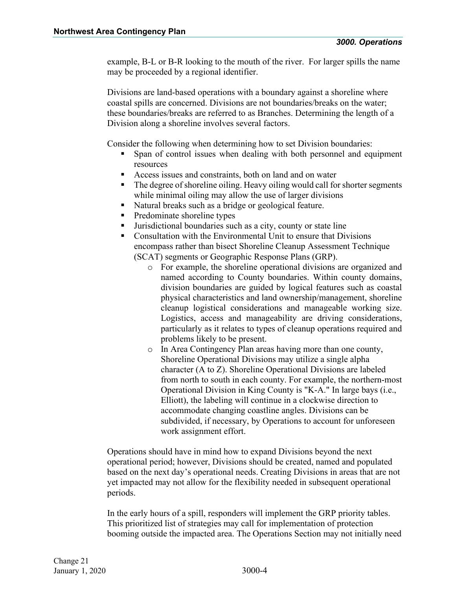example, B-L or B-R looking to the mouth of the river. For larger spills the name may be proceeded by a regional identifier.

Divisions are land-based operations with a boundary against a shoreline where coastal spills are concerned. Divisions are not boundaries/breaks on the water; these boundaries/breaks are referred to as Branches. Determining the length of a Division along a shoreline involves several factors.

Consider the following when determining how to set Division boundaries:

- Span of control issues when dealing with both personnel and equipment resources
- Access issues and constraints, both on land and on water
- The degree of shoreline oiling. Heavy oiling would call for shorter segments while minimal oiling may allow the use of larger divisions
- Natural breaks such as a bridge or geological feature.
- Predominate shoreline types
- Jurisdictional boundaries such as a city, county or state line
- Consultation with the Environmental Unit to ensure that Divisions encompass rather than bisect Shoreline Cleanup Assessment Technique (SCAT) segments or Geographic Response Plans (GRP).
	- o For example, the shoreline operational divisions are organized and named according to County boundaries. Within county domains, division boundaries are guided by logical features such as coastal physical characteristics and land ownership/management, shoreline cleanup logistical considerations and manageable working size. Logistics, access and manageability are driving considerations, particularly as it relates to types of cleanup operations required and problems likely to be present.
	- o In Area Contingency Plan areas having more than one county, Shoreline Operational Divisions may utilize a single alpha character (A to Z). Shoreline Operational Divisions are labeled from north to south in each county. For example, the northern-most Operational Division in King County is "K-A." In large bays (i.e., Elliott), the labeling will continue in a clockwise direction to accommodate changing coastline angles. Divisions can be subdivided, if necessary, by Operations to account for unforeseen work assignment effort.

Operations should have in mind how to expand Divisions beyond the next operational period; however, Divisions should be created, named and populated based on the next day's operational needs. Creating Divisions in areas that are not yet impacted may not allow for the flexibility needed in subsequent operational periods.

In the early hours of a spill, responders will implement the GRP priority tables. This prioritized list of strategies may call for implementation of protection booming outside the impacted area. The Operations Section may not initially need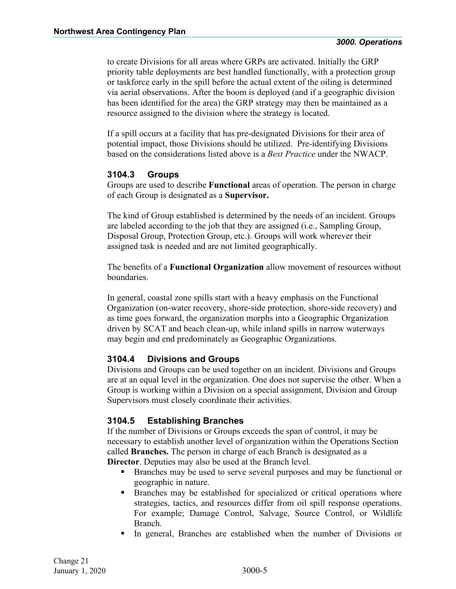to create Divisions for all areas where GRPs are activated. Initially the GRP priority table deployments are best handled functionally, with a protection group or taskforce early in the spill before the actual extent of the oiling is determined via aerial observations. After the boom is deployed (and if a geographic division has been identified for the area) the GRP strategy may then be maintained as a resource assigned to the division where the strategy is located.

If a spill occurs at a facility that has pre-designated Divisions for their area of potential impact, those Divisions should be utilized. Pre-identifying Divisions based on the considerations listed above is a *Best Practice* under the NWACP.

# <span id="page-6-0"></span>**3104.3 Groups**

Groups are used to describe **Functional** areas of operation. The person in charge of each Group is designated as a **Supervisor.** 

The kind of Group established is determined by the needs of an incident. Groups are labeled according to the job that they are assigned (i.e., Sampling Group, Disposal Group, Protection Group, etc.). Groups will work wherever their assigned task is needed and are not limited geographically.

The benefits of a **Functional Organization** allow movement of resources without boundaries.

In general, coastal zone spills start with a heavy emphasis on the Functional Organization (on-water recovery, shore-side protection, shore-side recovery) and as time goes forward, the organization morphs into a Geographic Organization driven by SCAT and beach clean-up, while inland spills in narrow waterways may begin and end predominately as Geographic Organizations.

# <span id="page-6-1"></span>**3104.4 Divisions and Groups**

Divisions and Groups can be used together on an incident. Divisions and Groups are at an equal level in the organization. One does not supervise the other. When a Group is working within a Division on a special assignment, Division and Group Supervisors must closely coordinate their activities.

# <span id="page-6-2"></span>**3104.5 Establishing Branches**

If the number of Divisions or Groups exceeds the span of control, it may be necessary to establish another level of organization within the Operations Section called **Branches.** The person in charge of each Branch is designated as a **Director**. Deputies may also be used at the Branch level.

- Branches may be used to serve several purposes and may be functional or geographic in nature.
- Branches may be established for specialized or critical operations where strategies, tactics, and resources differ from oil spill response operations. For example; Damage Control, Salvage, Source Control, or Wildlife Branch.
- In general, Branches are established when the number of Divisions or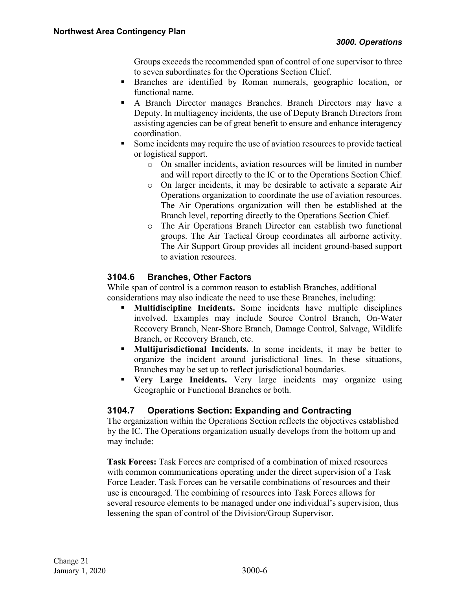Groups exceeds the recommended span of control of one supervisor to three to seven subordinates for the Operations Section Chief.

- Branches are identified by Roman numerals, geographic location, or functional name.
- A Branch Director manages Branches. Branch Directors may have a Deputy. In multiagency incidents, the use of Deputy Branch Directors from assisting agencies can be of great benefit to ensure and enhance interagency coordination.
- Some incidents may require the use of aviation resources to provide tactical or logistical support.
	- o On smaller incidents, aviation resources will be limited in number and will report directly to the IC or to the Operations Section Chief.
	- o On larger incidents, it may be desirable to activate a separate Air Operations organization to coordinate the use of aviation resources. The Air Operations organization will then be established at the Branch level, reporting directly to the Operations Section Chief.
	- o The Air Operations Branch Director can establish two functional groups. The Air Tactical Group coordinates all airborne activity. The Air Support Group provides all incident ground-based support to aviation resources.

# <span id="page-7-0"></span>**3104.6 Branches, Other Factors**

While span of control is a common reason to establish Branches, additional considerations may also indicate the need to use these Branches, including:

- **Multidiscipline Incidents.** Some incidents have multiple disciplines involved. Examples may include Source Control Branch, On-Water Recovery Branch, Near-Shore Branch, Damage Control, Salvage, Wildlife Branch, or Recovery Branch, etc.
- **Multijurisdictional Incidents.** In some incidents, it may be better to organize the incident around jurisdictional lines. In these situations, Branches may be set up to reflect jurisdictional boundaries.
- **Very Large Incidents.** Very large incidents may organize using Geographic or Functional Branches or both.

# <span id="page-7-1"></span>**3104.7 Operations Section: Expanding and Contracting**

The organization within the Operations Section reflects the objectives established by the IC. The Operations organization usually develops from the bottom up and may include:

**Task Forces:** Task Forces are comprised of a combination of mixed resources with common communications operating under the direct supervision of a Task Force Leader. Task Forces can be versatile combinations of resources and their use is encouraged. The combining of resources into Task Forces allows for several resource elements to be managed under one individual's supervision, thus lessening the span of control of the Division/Group Supervisor.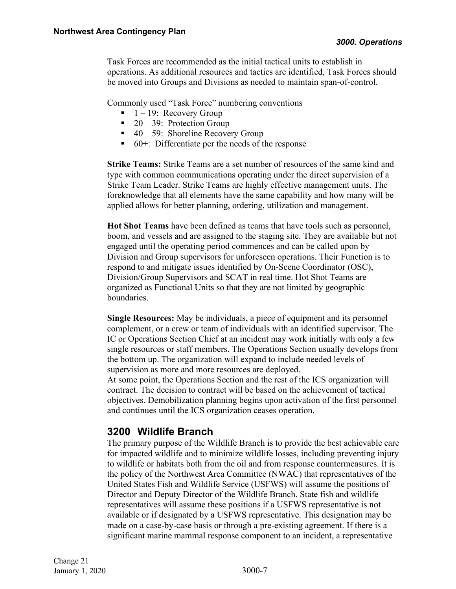Task Forces are recommended as the initial tactical units to establish in operations. As additional resources and tactics are identified, Task Forces should be moved into Groups and Divisions as needed to maintain span-of-control.

Commonly used "Task Force" numbering conventions

- $\blacksquare$  1 19: Recovery Group
- $\blacksquare$  20 39: Protection Group
- $\blacksquare$  40 59: Shoreline Recovery Group
- 60+: Differentiate per the needs of the response

**Strike Teams:** Strike Teams are a set number of resources of the same kind and type with common communications operating under the direct supervision of a Strike Team Leader. Strike Teams are highly effective management units. The foreknowledge that all elements have the same capability and how many will be applied allows for better planning, ordering, utilization and management.

**Hot Shot Teams** have been defined as teams that have tools such as personnel, boom, and vessels and are assigned to the staging site. They are available but not engaged until the operating period commences and can be called upon by Division and Group supervisors for unforeseen operations. Their Function is to respond to and mitigate issues identified by On-Scene Coordinator (OSC), Division/Group Supervisors and SCAT in real time. Hot Shot Teams are organized as Functional Units so that they are not limited by geographic boundaries.

**Single Resources:** May be individuals, a piece of equipment and its personnel complement, or a crew or team of individuals with an identified supervisor. The IC or Operations Section Chief at an incident may work initially with only a few single resources or staff members. The Operations Section usually develops from the bottom up. The organization will expand to include needed levels of supervision as more and more resources are deployed.

At some point, the Operations Section and the rest of the ICS organization will contract. The decision to contract will be based on the achievement of tactical objectives. Demobilization planning begins upon activation of the first personnel and continues until the ICS organization ceases operation.

# <span id="page-8-0"></span>**3200 Wildlife Branch**

The primary purpose of the Wildlife Branch is to provide the best achievable care for impacted wildlife and to minimize wildlife losses, including preventing injury to wildlife or habitats both from the oil and from response countermeasures. It is the policy of the Northwest Area Committee (NWAC) that representatives of the United States Fish and Wildlife Service (USFWS) will assume the positions of Director and Deputy Director of the Wildlife Branch. State fish and wildlife representatives will assume these positions if a USFWS representative is not available or if designated by a USFWS representative. This designation may be made on a case-by-case basis or through a pre-existing agreement. If there is a significant marine mammal response component to an incident, a representative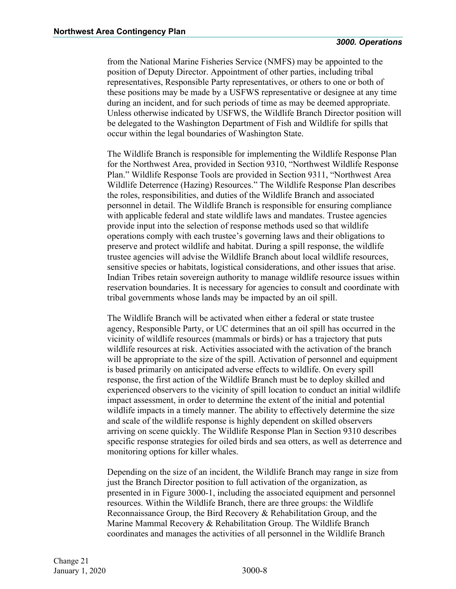from the National Marine Fisheries Service (NMFS) may be appointed to the position of Deputy Director. Appointment of other parties, including tribal representatives, Responsible Party representatives, or others to one or both of these positions may be made by a USFWS representative or designee at any time during an incident, and for such periods of time as may be deemed appropriate. Unless otherwise indicated by USFWS, the Wildlife Branch Director position will be delegated to the Washington Department of Fish and Wildlife for spills that occur within the legal boundaries of Washington State.

The Wildlife Branch is responsible for implementing the Wildlife Response Plan for the Northwest Area, provided in Section 9310, "Northwest Wildlife Response Plan." Wildlife Response Tools are provided in Section 9311, "Northwest Area Wildlife Deterrence (Hazing) Resources." The Wildlife Response Plan describes the roles, responsibilities, and duties of the Wildlife Branch and associated personnel in detail. The Wildlife Branch is responsible for ensuring compliance with applicable federal and state wildlife laws and mandates. Trustee agencies provide input into the selection of response methods used so that wildlife operations comply with each trustee's governing laws and their obligations to preserve and protect wildlife and habitat. During a spill response, the wildlife trustee agencies will advise the Wildlife Branch about local wildlife resources, sensitive species or habitats, logistical considerations, and other issues that arise. Indian Tribes retain sovereign authority to manage wildlife resource issues within reservation boundaries. It is necessary for agencies to consult and coordinate with tribal governments whose lands may be impacted by an oil spill.

The Wildlife Branch will be activated when either a federal or state trustee agency, Responsible Party, or UC determines that an oil spill has occurred in the vicinity of wildlife resources (mammals or birds) or has a trajectory that puts wildlife resources at risk. Activities associated with the activation of the branch will be appropriate to the size of the spill. Activation of personnel and equipment is based primarily on anticipated adverse effects to wildlife. On every spill response, the first action of the Wildlife Branch must be to deploy skilled and experienced observers to the vicinity of spill location to conduct an initial wildlife impact assessment, in order to determine the extent of the initial and potential wildlife impacts in a timely manner. The ability to effectively determine the size and scale of the wildlife response is highly dependent on skilled observers arriving on scene quickly. The Wildlife Response Plan in Section 9310 describes specific response strategies for oiled birds and sea otters, as well as deterrence and monitoring options for killer whales.

Depending on the size of an incident, the Wildlife Branch may range in size from just the Branch Director position to full activation of the organization, as presented in in Figure 3000-1, including the associated equipment and personnel resources. Within the Wildlife Branch, there are three groups: the Wildlife Reconnaissance Group, the Bird Recovery & Rehabilitation Group, and the Marine Mammal Recovery & Rehabilitation Group. The Wildlife Branch coordinates and manages the activities of all personnel in the Wildlife Branch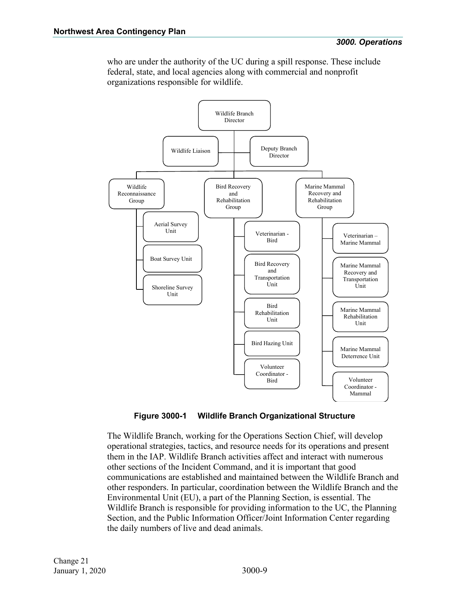who are under the authority of the UC during a spill response. These include federal, state, and local agencies along with commercial and nonprofit organizations responsible for wildlife.



**Figure 3000-1 Wildlife Branch Organizational Structure**

The Wildlife Branch, working for the Operations Section Chief, will develop operational strategies, tactics, and resource needs for its operations and present them in the IAP. Wildlife Branch activities affect and interact with numerous other sections of the Incident Command, and it is important that good communications are established and maintained between the Wildlife Branch and other responders. In particular, coordination between the Wildlife Branch and the Environmental Unit (EU), a part of the Planning Section, is essential. The Wildlife Branch is responsible for providing information to the UC, the Planning Section, and the Public Information Officer/Joint Information Center regarding the daily numbers of live and dead animals.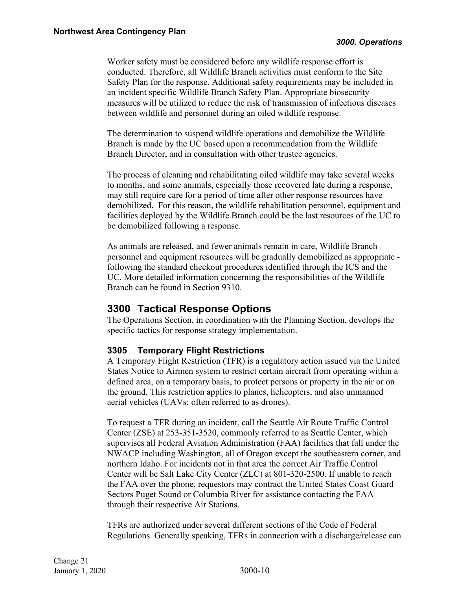Worker safety must be considered before any wildlife response effort is conducted. Therefore, all Wildlife Branch activities must conform to the Site Safety Plan for the response. Additional safety requirements may be included in an incident specific Wildlife Branch Safety Plan. Appropriate biosecurity measures will be utilized to reduce the risk of transmission of infectious diseases between wildlife and personnel during an oiled wildlife response.

The determination to suspend wildlife operations and demobilize the Wildlife Branch is made by the UC based upon a recommendation from the Wildlife Branch Director, and in consultation with other trustee agencies.

The process of cleaning and rehabilitating oiled wildlife may take several weeks to months, and some animals, especially those recovered late during a response, may still require care for a period of time after other response resources have demobilized. For this reason, the wildlife rehabilitation personnel, equipment and facilities deployed by the Wildlife Branch could be the last resources of the UC to be demobilized following a response.

As animals are released, and fewer animals remain in care, Wildlife Branch personnel and equipment resources will be gradually demobilized as appropriate following the standard checkout procedures identified through the ICS and the UC. More detailed information concerning the responsibilities of the Wildlife Branch can be found in Section 9310.

# <span id="page-11-0"></span>**3300 Tactical Response Options**

The Operations Section, in coordination with the Planning Section, develops the specific tactics for response strategy implementation.

# <span id="page-11-1"></span>**3305 Temporary Flight Restrictions**

A Temporary Flight Restriction (TFR) is a regulatory action issued via the United States Notice to Airmen system to restrict certain aircraft from operating within a defined area, on a temporary basis, to protect persons or property in the air or on the ground. This restriction applies to planes, helicopters, and also unmanned aerial vehicles (UAVs; often referred to as drones).

To request a TFR during an incident, call the Seattle Air Route Traffic Control Center (ZSE) at 253-351-3520, commonly referred to as Seattle Center, which supervises all Federal Aviation Administration (FAA) facilities that fall under the NWACP including Washington, all of Oregon except the southeastern corner, and northern Idaho. For incidents not in that area the correct Air Traffic Control Center will be Salt Lake City Center (ZLC) at 801-320-2500. If unable to reach the FAA over the phone, requestors may contract the United States Coast Guard Sectors Puget Sound or Columbia River for assistance contacting the FAA through their respective Air Stations.

TFRs are authorized under several different sections of the Code of Federal Regulations. Generally speaking, TFRs in connection with a discharge/release can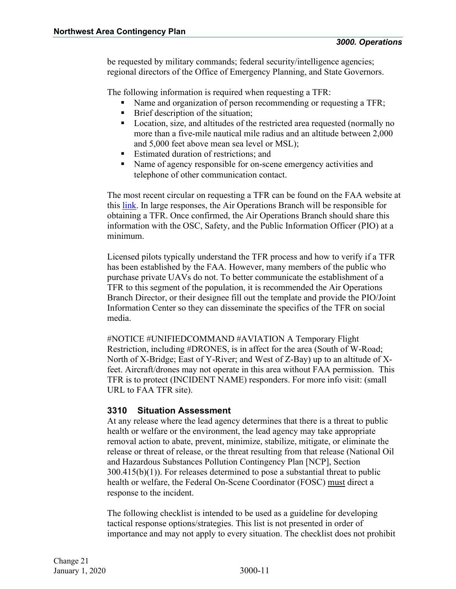be requested by military commands; federal security/intelligence agencies; regional directors of the Office of Emergency Planning, and State Governors.

The following information is required when requesting a TFR:

- Name and organization of person recommending or requesting a TFR;
- Brief description of the situation;
- Location, size, and altitudes of the restricted area requested (normally no more than a five-mile nautical mile radius and an altitude between 2,000 and 5,000 feet above mean sea level or MSL);
- Estimated duration of restrictions; and
- Name of agency responsible for on-scene emergency activities and telephone of other communication contact.

The most recent circular on requesting a TFR can be found on the FAA website at this [link.](https://www.faa.gov/documentLibrary/media/Advisory_Circular/AC_91-63D.pdf) In large responses, the Air Operations Branch will be responsible for obtaining a TFR. Once confirmed, the Air Operations Branch should share this information with the OSC, Safety, and the Public Information Officer (PIO) at a minimum.

Licensed pilots typically understand the TFR process and how to verify if a TFR has been established by the FAA. However, many members of the public who purchase private UAVs do not. To better communicate the establishment of a TFR to this segment of the population, it is recommended the Air Operations Branch Director, or their designee fill out the template and provide the PIO/Joint Information Center so they can disseminate the specifics of the TFR on social media.

#NOTICE #UNIFIEDCOMMAND #AVIATION A Temporary Flight Restriction, including #DRONES, is in affect for the area (South of W-Road; North of X-Bridge; East of Y-River; and West of Z-Bay) up to an altitude of Xfeet. Aircraft/drones may not operate in this area without FAA permission. This TFR is to protect (INCIDENT NAME) responders. For more info visit: (small URL to FAA TFR site).

# <span id="page-12-0"></span>**3310 Situation Assessment**

At any release where the lead agency determines that there is a threat to public health or welfare or the environment, the lead agency may take appropriate removal action to abate, prevent, minimize, stabilize, mitigate, or eliminate the release or threat of release, or the threat resulting from that release (National Oil and Hazardous Substances Pollution Contingency Plan [NCP], Section 300.415(b)(1)). For releases determined to pose a substantial threat to public health or welfare, the Federal On-Scene Coordinator (FOSC) must direct a response to the incident.

The following checklist is intended to be used as a guideline for developing tactical response options/strategies. This list is not presented in order of importance and may not apply to every situation. The checklist does not prohibit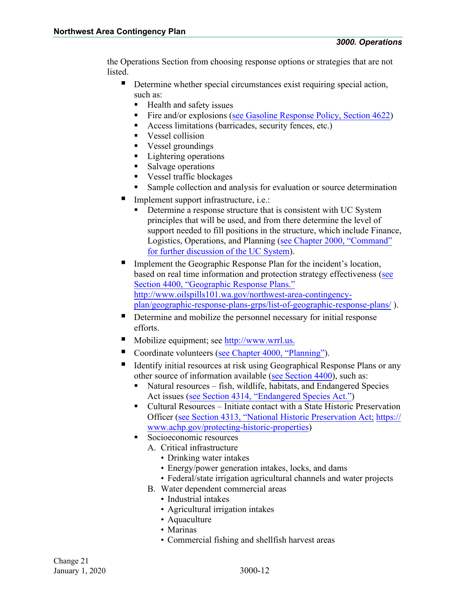the Operations Section from choosing response options or strategies that are not listed.

- Determine whether special circumstances exist requiring special action, such as:
	- Health and safety issues
	- Fire and/or explosions (see Gasoline Response Policy, Section 4622)
	- Access limitations (barricades, security fences, etc.)
	- Vessel collision
	- Vessel groundings
	- **Lightering operations**
	- Salvage operations
	- Vessel traffic blockages
	- Sample collection and analysis for evaluation or source determination
- Implement support infrastructure, i.e.:
	- Determine a response structure that is consistent with UC System principles that will be used, and from there determine the level of support needed to fill positions in the structure, which include Finance, Logistics, Operations, and Planning [\(see Chapter 2000, "Command"](http://www.rrt10nwac.com/Files/NWACP/Chapter_2000.pdf) [for further discussion of the UC](http://www.rrt10nwac.com/Files/NWACP/Chapter_2000.pdf) System).
- Implement the Geographic Response Plan for the incident's location, based on real time information and protection strategy effectiveness [\(see](http://private.rrt10nwac.com/_client/files/See%20Planning%20Chapter%204000,%20Section%204400) [Section](http://private.rrt10nwac.com/_client/files/See%20Planning%20Chapter%204000,%20Section%204400) 4400, "Geographic Response Plans." [http://www.oilspills101.wa.gov/northwest-area-contingency](http://www.oilspills101.wa.gov/northwest-area-contingency-plan/geographic-response-plans-grps/list-of-geographic-response-plans/)[plan/geographic-response-plans-grps/list-of-geographic-response-plans/ \)](http://www.oilspills101.wa.gov/northwest-area-contingency-plan/geographic-response-plans-grps/list-of-geographic-response-plans/).
- Determine and mobilize the personnel necessary for initial response efforts.
- Mobilize equipment; see [http://www.wrrl.us.](http://www.wrrl.us/)
- Coordinate volunteers [\(see Chapter 4000,](http://www.rrt10nwac.com/Files/NWACP/Chapter_4000.pdf) "Planning").
- Identify initial resources at risk using Geographical Response Plans or any other source of information available [\(see Section 4400\)](http://www.rrt10nwac.com/Files/NWACP/Chapter_4000.pdf), such as:
	- Natural resources fish, wildlife, habitats, and Endangered Species Act issues [\(see Section 4314,](http://www.rrt10nwac.com/Files/NWACP/Chapter_4000.pdf) "Endangered Species Act.")
	- Cultural Resources Initiate contact with a State Historic Preservation Officer [\(see Section 4313,](http://www.rrt10nwac.com/Files/NWACP/Chapter_4000.pdf) "National Historic Preservation Act; https:// [www.achp.gov/protecting-historic-properties\)](https://www.achp.gov/protecting-historic-properties)
	- Socioeconomic resources
		- A. Critical infrastructure
			- Drinking water intakes
			- Energy/power generation intakes, locks, and dams
			- Federal/state irrigation agricultural channels and water projects
		- B. Water dependent commercial areas
			- Industrial intakes
			- Agricultural irrigation intakes
			- Aquaculture
			- Marinas
			- Commercial fishing and shellfish harvest areas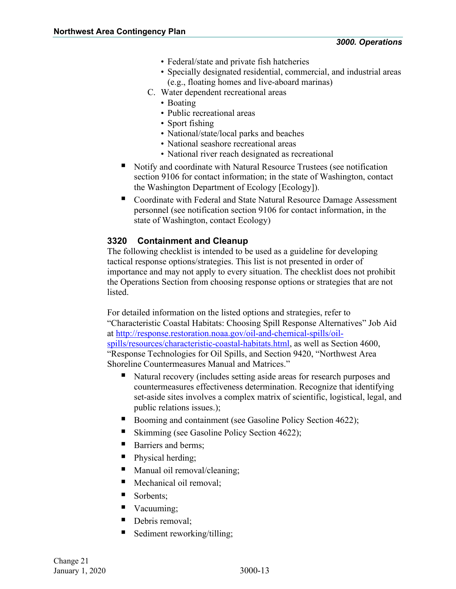- Federal/state and private fish hatcheries
- Specially designated residential, commercial, and industrial areas (e.g., floating homes and live-aboard marinas)
- C. Water dependent recreational areas
	- Boating
	- Public recreational areas
	- Sport fishing
	- National/state/local parks and beaches
	- National seashore recreational areas
	- National river reach designated as recreational
- Notify and coordinate with Natural Resource Trustees (see notification section 9106 for contact information; in the state of Washington, contact the Washington Department of Ecology [Ecology]).
- Coordinate with Federal and State Natural Resource Damage Assessment personnel (see notification section 9106 for contact information, in the state of Washington, contact Ecology)

# <span id="page-14-0"></span>**3320 Containment and Cleanup**

The following checklist is intended to be used as a guideline for developing tactical response options/strategies. This list is not presented in order of importance and may not apply to every situation. The checklist does not prohibit the Operations Section from choosing response options or strategies that are not listed.

For detailed information on the listed options and strategies, refer to "Characteristic Coastal Habitats: Choosing Spill Response Alternatives" Job Aid at [http://response.restoration.noaa.gov/oil-and-chemical-spills/oil](http://response.restoration.noaa.gov/oil-and-chemical-spills/oil-spills/resources/characteristic-coastal-habitats.html)[spills/resources/characteristic-coastal-habitats.html,](http://response.restoration.noaa.gov/oil-and-chemical-spills/oil-spills/resources/characteristic-coastal-habitats.html) as well as Section 4600, "Response Technologies for Oil Spills, and Section 9420, "Northwest Area Shoreline Countermeasures Manual and Matrices."

- Natural recovery (includes setting aside areas for research purposes and countermeasures effectiveness determination. Recognize that identifying set-aside sites involves a complex matrix of scientific, logistical, legal, and public relations issues.);
- Booming and containment (see Gasoline Policy Section 4622);
- Skimming (see Gasoline Policy Section 4622);
- Barriers and berms;
- Physical herding;
- Manual oil removal/cleaning;
- Mechanical oil removal;
- Sorbents:
- Vacuuming:
- Debris removal;
- Sediment reworking/tilling;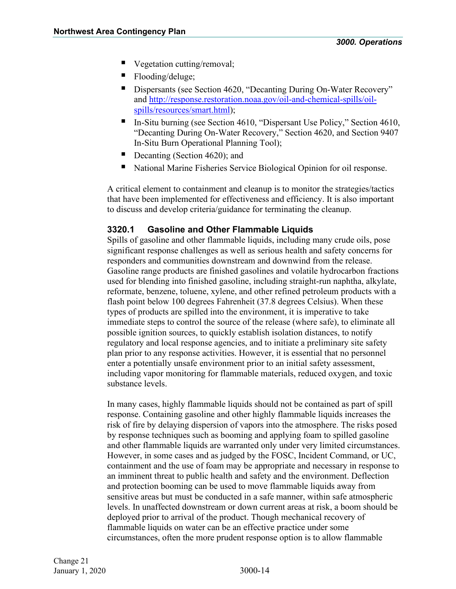- Vegetation cutting/removal;
- Flooding/deluge;
- Dispersants (see Section 4620, "Decanting During On-Water Recovery" and [http://response.restoration.noaa.gov/oil-and-chemical-spills/oil](http://response.restoration.noaa.gov/oil-and-chemical-spills/oil-spills/resources/smart.html)[spills/resources/smart.html\)](http://response.restoration.noaa.gov/oil-and-chemical-spills/oil-spills/resources/smart.html);
- In-Situ burning (see Section 4610, "Dispersant Use Policy," Section 4610, "Decanting During On-Water Recovery," Section 4620, and Section 9407 In-Situ Burn Operational Planning Tool);
- Decanting (Section 4620); and
- National Marine Fisheries Service Biological Opinion for oil response.

A critical element to containment and cleanup is to monitor the strategies/tactics that have been implemented for effectiveness and efficiency. It is also important to discuss and develop criteria/guidance for terminating the cleanup.

### <span id="page-15-0"></span>**3320.1 Gasoline and Other Flammable Liquids**

Spills of gasoline and other flammable liquids, including many crude oils, pose significant response challenges as well as serious health and safety concerns for responders and communities downstream and downwind from the release. Gasoline range products are finished gasolines and volatile hydrocarbon fractions used for blending into finished gasoline, including straight-run naphtha, alkylate, reformate, benzene, toluene, xylene, and other refined petroleum products with a flash point below 100 degrees Fahrenheit (37.8 degrees Celsius). When these types of products are spilled into the environment, it is imperative to take immediate steps to control the source of the release (where safe), to eliminate all possible ignition sources, to quickly establish isolation distances, to notify regulatory and local response agencies, and to initiate a preliminary site safety plan prior to any response activities. However, it is essential that no personnel enter a potentially unsafe environment prior to an initial safety assessment, including vapor monitoring for flammable materials, reduced oxygen, and toxic substance levels.

In many cases, highly flammable liquids should not be contained as part of spill response. Containing gasoline and other highly flammable liquids increases the risk of fire by delaying dispersion of vapors into the atmosphere. The risks posed by response techniques such as booming and applying foam to spilled gasoline and other flammable liquids are warranted only under very limited circumstances. However, in some cases and as judged by the FOSC, Incident Command, or UC, containment and the use of foam may be appropriate and necessary in response to an imminent threat to public health and safety and the environment. Deflection and protection booming can be used to move flammable liquids away from sensitive areas but must be conducted in a safe manner, within safe atmospheric levels. In unaffected downstream or down current areas at risk, a boom should be deployed prior to arrival of the product. Though mechanical recovery of flammable liquids on water can be an effective practice under some circumstances, often the more prudent response option is to allow flammable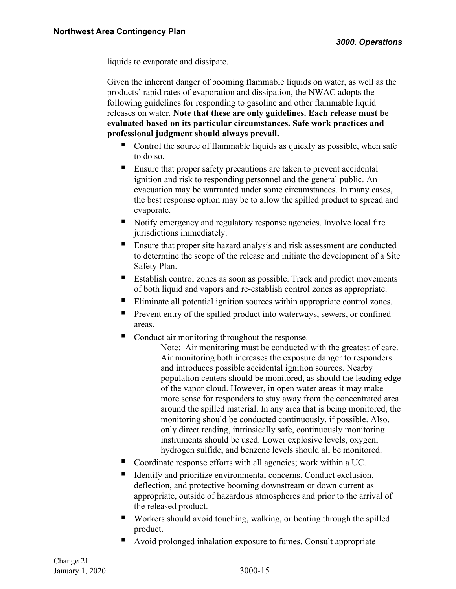liquids to evaporate and dissipate.

Given the inherent danger of booming flammable liquids on water, as well as the products' rapid rates of evaporation and dissipation, the NWAC adopts the following guidelines for responding to gasoline and other flammable liquid releases on water. **Note that these are only guidelines. Each release must be evaluated based on its particular circumstances. Safe work practices and professional judgment should always prevail.** 

- Control the source of flammable liquids as quickly as possible, when safe to do so.
- **Ensure that proper safety precautions are taken to prevent accidental** ignition and risk to responding personnel and the general public. An evacuation may be warranted under some circumstances. In many cases, the best response option may be to allow the spilled product to spread and evaporate.
- Notify emergency and regulatory response agencies. Involve local fire jurisdictions immediately.
- **Ensure that proper site hazard analysis and risk assessment are conducted** to determine the scope of the release and initiate the development of a Site Safety Plan.
- Establish control zones as soon as possible. Track and predict movements of both liquid and vapors and re-establish control zones as appropriate.
- Eliminate all potential ignition sources within appropriate control zones.
- **Prevent entry of the spilled product into waterways, sewers, or confined** areas.
- Conduct air monitoring throughout the response.
	- Note: Air monitoring must be conducted with the greatest of care. Air monitoring both increases the exposure danger to responders and introduces possible accidental ignition sources. Nearby population centers should be monitored, as should the leading edge of the vapor cloud. However, in open water areas it may make more sense for responders to stay away from the concentrated area around the spilled material. In any area that is being monitored, the monitoring should be conducted continuously, if possible. Also, only direct reading, intrinsically safe, continuously monitoring instruments should be used. Lower explosive levels, oxygen, hydrogen sulfide, and benzene levels should all be monitored.
- Coordinate response efforts with all agencies; work within a UC.
- Identify and prioritize environmental concerns. Conduct exclusion, deflection, and protective booming downstream or down current as appropriate, outside of hazardous atmospheres and prior to the arrival of the released product.
- Workers should avoid touching, walking, or boating through the spilled product.
- Avoid prolonged inhalation exposure to fumes. Consult appropriate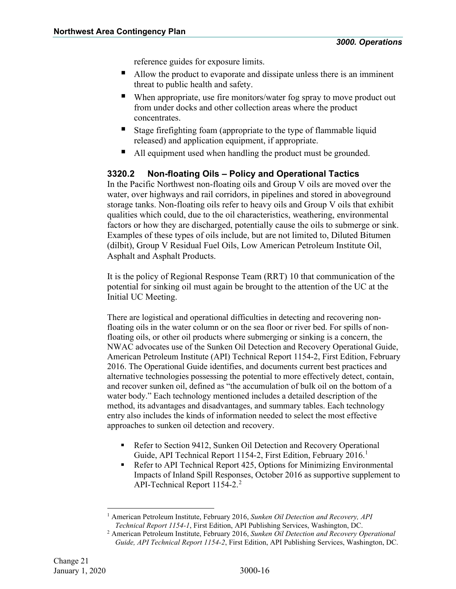reference guides for exposure limits.

- Allow the product to evaporate and dissipate unless there is an imminent threat to public health and safety.
- When appropriate, use fire monitors/water fog spray to move product out from under docks and other collection areas where the product concentrates.
- Stage firefighting foam (appropriate to the type of flammable liquid released) and application equipment, if appropriate.
- All equipment used when handling the product must be grounded.

# <span id="page-17-0"></span>**3320.2 Non-floating Oils – Policy and Operational Tactics**

In the Pacific Northwest non-floating oils and Group V oils are moved over the water, over highways and rail corridors, in pipelines and stored in aboveground storage tanks. Non-floating oils refer to heavy oils and Group V oils that exhibit qualities which could, due to the oil characteristics, weathering, environmental factors or how they are discharged, potentially cause the oils to submerge or sink. Examples of these types of oils include, but are not limited to, Diluted Bitumen (dilbit), Group V Residual Fuel Oils, Low American Petroleum Institute Oil, Asphalt and Asphalt Products.

It is the policy of Regional Response Team (RRT) 10 that communication of the potential for sinking oil must again be brought to the attention of the UC at the Initial UC Meeting.

There are logistical and operational difficulties in detecting and recovering nonfloating oils in the water column or on the sea floor or river bed. For spills of nonfloating oils, or other oil products where submerging or sinking is a concern, the NWAC advocates use of the Sunken Oil Detection and Recovery Operational Guide, American Petroleum Institute (API) Technical Report 1154-2, First Edition, February 2016. The Operational Guide identifies, and documents current best practices and alternative technologies possessing the potential to more effectively detect, contain, and recover sunken oil, defined as "the accumulation of bulk oil on the bottom of a water body." Each technology mentioned includes a detailed description of the method, its advantages and disadvantages, and summary tables. Each technology entry also includes the kinds of information needed to select the most effective approaches to sunken oil detection and recovery.

- Refer to Section 9412, Sunken Oil Detection and Recovery Operational Guide, API Technical Report [1](#page-17-1)154-2, First Edition, February 2016.<sup>1</sup>
- Refer to API Technical Report 425, Options for Minimizing Environmental Impacts of Inland Spill Responses, October 2016 as supportive supplement to API-Technical Report 1154-[2](#page-17-2).<sup>2</sup>

<sup>1</sup> American Petroleum Institute, February 2016, *Sunken Oil Detection and Recovery, API Technical Report 1154-1*, First Edition, API Publishing Services, Washington, DC.

<span id="page-17-2"></span><span id="page-17-1"></span><sup>2</sup> American Petroleum Institute, February 2016, *Sunken Oil Detection and Recovery Operational Guide, API Technical Report 1154-2*, First Edition, API Publishing Services, Washington, DC.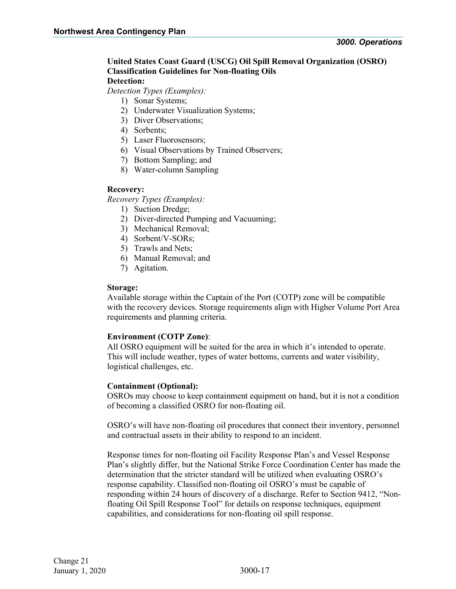# **United States Coast Guard (USCG) Oil Spill Removal Organization (OSRO) Classification Guidelines for Non-floating Oils**

# **Detection:**

*Detection Types (Examples):*

- 1) Sonar Systems;
- 2) Underwater Visualization Systems;
- 3) Diver Observations;
- 4) Sorbents;
- 5) Laser Fluorosensors;
- 6) Visual Observations by Trained Observers;
- 7) Bottom Sampling; and
- 8) Water-column Sampling

#### **Recovery:**

*Recovery Types (Examples):* 

- 1) Suction Dredge;
- 2) Diver-directed Pumping and Vacuuming;
- 3) Mechanical Removal;
- 4) Sorbent/V-SORs;
- 5) Trawls and Nets;
- 6) Manual Removal; and
- 7) Agitation.

#### **Storage:**

Available storage within the Captain of the Port (COTP) zone will be compatible with the recovery devices. Storage requirements align with Higher Volume Port Area requirements and planning criteria.

#### **Environment (COTP Zone)**:

All OSRO equipment will be suited for the area in which it's intended to operate. This will include weather, types of water bottoms, currents and water visibility, logistical challenges, etc.

#### **Containment (Optional):**

OSROs may choose to keep containment equipment on hand, but it is not a condition of becoming a classified OSRO for non-floating oil.

OSRO's will have non-floating oil procedures that connect their inventory, personnel and contractual assets in their ability to respond to an incident.

Response times for non-floating oil Facility Response Plan's and Vessel Response Plan's slightly differ, but the National Strike Force Coordination Center has made the determination that the stricter standard will be utilized when evaluating OSRO's response capability. Classified non-floating oil OSRO's must be capable of responding within 24 hours of discovery of a discharge. Refer to Section 9412, "Nonfloating Oil Spill Response Tool" for details on response techniques, equipment capabilities, and considerations for non-floating oil spill response.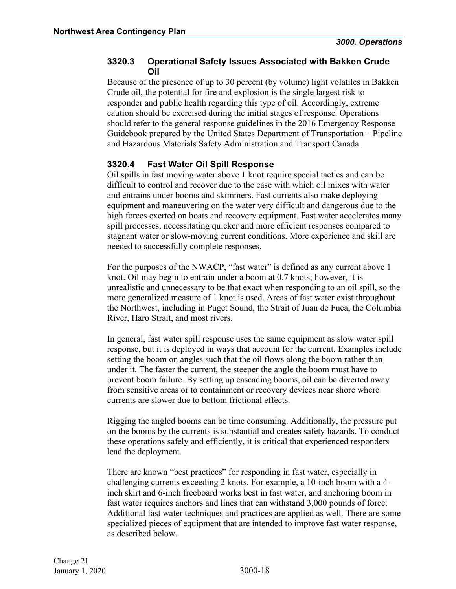# <span id="page-19-0"></span>**3320.3 Operational Safety Issues Associated with Bakken Crude Oil**

Because of the presence of up to 30 percent (by volume) light volatiles in Bakken Crude oil, the potential for fire and explosion is the single largest risk to responder and public health regarding this type of oil. Accordingly, extreme caution should be exercised during the initial stages of response. Operations should refer to the general response guidelines in the 2016 Emergency Response Guidebook prepared by the United States Department of Transportation – Pipeline and Hazardous Materials Safety Administration and Transport Canada.

# <span id="page-19-1"></span>**3320.4 Fast Water Oil Spill Response**

Oil spills in fast moving water above 1 knot require special tactics and can be difficult to control and recover due to the ease with which oil mixes with water and entrains under booms and skimmers. Fast currents also make deploying equipment and maneuvering on the water very difficult and dangerous due to the high forces exerted on boats and recovery equipment. Fast water accelerates many spill processes, necessitating quicker and more efficient responses compared to stagnant water or slow-moving current conditions. More experience and skill are needed to successfully complete responses.

For the purposes of the NWACP, "fast water" is defined as any current above 1 knot. Oil may begin to entrain under a boom at 0.7 knots; however, it is unrealistic and unnecessary to be that exact when responding to an oil spill, so the more generalized measure of 1 knot is used. Areas of fast water exist throughout the Northwest, including in Puget Sound, the Strait of Juan de Fuca, the Columbia River, Haro Strait, and most rivers.

In general, fast water spill response uses the same equipment as slow water spill response, but it is deployed in ways that account for the current. Examples include setting the boom on angles such that the oil flows along the boom rather than under it. The faster the current, the steeper the angle the boom must have to prevent boom failure. By setting up cascading booms, oil can be diverted away from sensitive areas or to containment or recovery devices near shore where currents are slower due to bottom frictional effects.

Rigging the angled booms can be time consuming. Additionally, the pressure put on the booms by the currents is substantial and creates safety hazards. To conduct these operations safely and efficiently, it is critical that experienced responders lead the deployment.

There are known "best practices" for responding in fast water, especially in challenging currents exceeding 2 knots. For example, a 10-inch boom with a 4 inch skirt and 6-inch freeboard works best in fast water, and anchoring boom in fast water requires anchors and lines that can withstand 3,000 pounds of force. Additional fast water techniques and practices are applied as well. There are some specialized pieces of equipment that are intended to improve fast water response, as described below.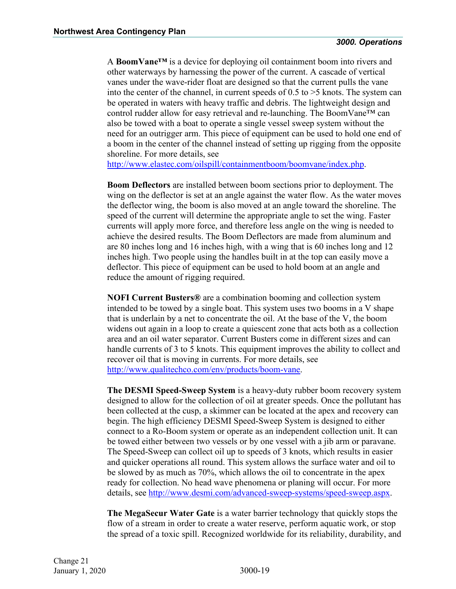A **BoomVane™** is a device for deploying oil containment boom into rivers and other waterways by harnessing the power of the current. A cascade of vertical vanes under the wave-rider float are designed so that the current pulls the vane into the center of the channel, in current speeds of 0.5 to >5 knots. The system can be operated in waters with heavy traffic and debris. The lightweight design and control rudder allow for easy retrieval and re-launching. The BoomVane™ can also be towed with a boat to operate a single vessel sweep system without the need for an outrigger arm. This piece of equipment can be used to hold one end of a boom in the center of the channel instead of setting up rigging from the opposite shoreline. For more details, see

[http://www.elastec.com/oilspill/containmentboom/boomvane/index.php.](http://www.elastec.com/oilspill/containmentboom/boomvane/index.php)

**Boom Deflectors** are installed between boom sections prior to deployment. The wing on the deflector is set at an angle against the water flow. As the water moves the deflector wing, the boom is also moved at an angle toward the shoreline. The speed of the current will determine the appropriate angle to set the wing. Faster currents will apply more force, and therefore less angle on the wing is needed to achieve the desired results. The Boom Deflectors are made from aluminum and are 80 inches long and 16 inches high, with a wing that is 60 inches long and 12 inches high. Two people using the handles built in at the top can easily move a deflector. This piece of equipment can be used to hold boom at an angle and reduce the amount of rigging required.

**NOFI Current Busters®** are a combination booming and collection system intended to be towed by a single boat. This system uses two booms in a V shape that is underlain by a net to concentrate the oil. At the base of the V, the boom widens out again in a loop to create a quiescent zone that acts both as a collection area and an oil water separator. Current Busters come in different sizes and can handle currents of 3 to 5 knots. This equipment improves the ability to collect and recover oil that is moving in currents. For more details, see [http://www.qualitechco.com/env/products/boom-vane.](http://www.qualitechco.com/env/products/boom-vane)

**The DESMI Speed-Sweep System** is a heavy-duty rubber boom recovery system designed to allow for the collection of oil at greater speeds. Once the pollutant has been collected at the cusp, a skimmer can be located at the apex and recovery can begin. The high efficiency DESMI Speed-Sweep System is designed to either connect to a Ro-Boom system or operate as an independent collection unit. It can be towed either between two vessels or by one vessel with a jib arm or paravane. The Speed-Sweep can collect oil up to speeds of 3 knots, which results in easier and quicker operations all round. This system allows the surface water and oil to be slowed by as much as 70%, which allows the oil to concentrate in the apex ready for collection. No head wave phenomena or planing will occur. For more details, see [http://www.desmi.com/advanced-sweep-systems/speed-sweep.aspx.](http://www.desmi.com/advanced-sweep-systems/speed-sweep.aspx)

**The MegaSecur Water Gate** is a water barrier technology that quickly stops the flow of a stream in order to create a water reserve, perform aquatic work, or stop the spread of a toxic spill. Recognized worldwide for its reliability, durability, and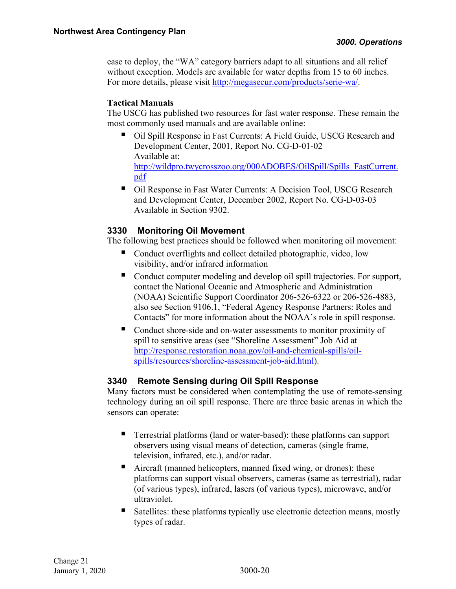ease to deploy, the "WA" category barriers adapt to all situations and all relief without exception. Models are available for water depths from 15 to 60 inches. For more details, please visit [http://megasecur.com/products/serie-wa/.](http://megasecur.com/products/serie-wa/)

# **Tactical Manuals**

The USCG has published two resources for fast water response. These remain the most commonly used manuals and are available online:

- Oil Spill Response in Fast Currents: A Field Guide, USCG Research and Development Center, 2001, Report No. CG-D-01-02 Available at: [http://wildpro.twycrosszoo.org/000ADOBES/OilSpill/Spills\\_FastCurrent.](http://wildpro.twycrosszoo.org/000ADOBES/OilSpill/Spills_FastCurrent.pdf) [pdf](http://wildpro.twycrosszoo.org/000ADOBES/OilSpill/Spills_FastCurrent.pdf)
- Oil Response in Fast Water Currents: A Decision Tool, USCG Research and Development Center, December 2002, Report No. CG-D-03-03 Available in Section 9302.

# <span id="page-21-0"></span>**3330 Monitoring Oil Movement**

The following best practices should be followed when monitoring oil movement:

- Conduct overflights and collect detailed photographic, video, low visibility, and/or infrared information
- Conduct computer modeling and develop oil spill trajectories. For support, contact the National Oceanic and Atmospheric and Administration (NOAA) Scientific Support Coordinator 206-526-6322 or 206-526-4883, also see Section 9106.1, "Federal Agency Response Partners: Roles and Contacts" for more information about the NOAA's role in spill response.
- Conduct shore-side and on-water assessments to monitor proximity of spill to sensitive areas (see "Shoreline Assessment" Job Aid at [http://response.restoration.noaa.gov/oil-and-chemical-spills/oil](http://response.restoration.noaa.gov/oil-and-chemical-spills/oil-spills/resources/shoreline-assessment-job-aid.html)[spills/resources/shoreline-assessment-job-aid.html\)](http://response.restoration.noaa.gov/oil-and-chemical-spills/oil-spills/resources/shoreline-assessment-job-aid.html).

# <span id="page-21-1"></span>**3340 Remote Sensing during Oil Spill Response**

Many factors must be considered when contemplating the use of remote-sensing technology during an oil spill response. There are three basic arenas in which the sensors can operate:

- **Terrestrial platforms (land or water-based): these platforms can support** observers using visual means of detection, cameras (single frame, television, infrared, etc.), and/or radar.
- Aircraft (manned helicopters, manned fixed wing, or drones): these platforms can support visual observers, cameras (same as terrestrial), radar (of various types), infrared, lasers (of various types), microwave, and/or ultraviolet.
- Satellites: these platforms typically use electronic detection means, mostly types of radar.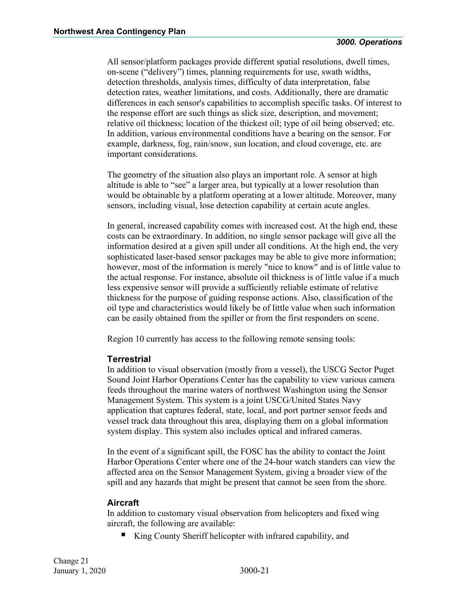All sensor/platform packages provide different spatial resolutions, dwell times, on-scene ("delivery") times, planning requirements for use, swath widths, detection thresholds, analysis times, difficulty of data interpretation, false detection rates, weather limitations, and costs. Additionally, there are dramatic differences in each sensor's capabilities to accomplish specific tasks. Of interest to the response effort are such things as slick size, description, and movement; relative oil thickness; location of the thickest oil; type of oil being observed; etc. In addition, various environmental conditions have a bearing on the sensor. For example, darkness, fog, rain/snow, sun location, and cloud coverage, etc. are important considerations.

The geometry of the situation also plays an important role. A sensor at high altitude is able to "see" a larger area, but typically at a lower resolution than would be obtainable by a platform operating at a lower altitude. Moreover, many sensors, including visual, lose detection capability at certain acute angles.

In general, increased capability comes with increased cost. At the high end, these costs can be extraordinary. In addition, no single sensor package will give all the information desired at a given spill under all conditions. At the high end, the very sophisticated laser-based sensor packages may be able to give more information; however, most of the information is merely "nice to know" and is of little value to the actual response. For instance, absolute oil thickness is of little value if a much less expensive sensor will provide a sufficiently reliable estimate of relative thickness for the purpose of guiding response actions. Also, classification of the oil type and characteristics would likely be of little value when such information can be easily obtained from the spiller or from the first responders on scene.

Region 10 currently has access to the following remote sensing tools:

# **Terrestrial**

In addition to visual observation (mostly from a vessel), the USCG Sector Puget Sound Joint Harbor Operations Center has the capability to view various camera feeds throughout the marine waters of northwest Washington using the Sensor Management System. This system is a joint USCG/United States Navy application that captures federal, state, local, and port partner sensor feeds and vessel track data throughout this area, displaying them on a global information system display. This system also includes optical and infrared cameras.

In the event of a significant spill, the FOSC has the ability to contact the Joint Harbor Operations Center where one of the 24-hour watch standers can view the affected area on the Sensor Management System, giving a broader view of the spill and any hazards that might be present that cannot be seen from the shore.

# **Aircraft**

In addition to customary visual observation from helicopters and fixed wing aircraft, the following are available:

King County Sheriff helicopter with infrared capability, and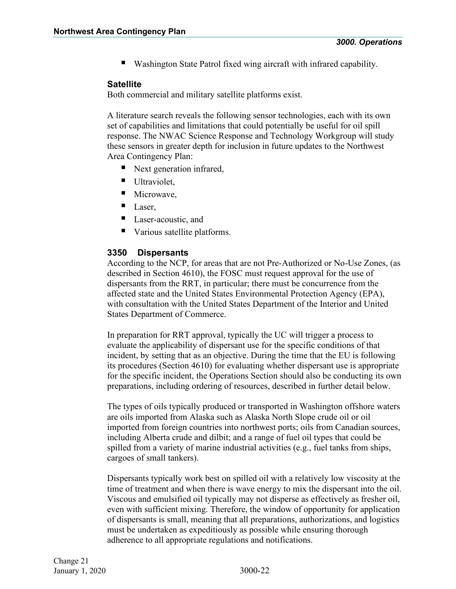Washington State Patrol fixed wing aircraft with infrared capability.

#### **Satellite**

Both commercial and military satellite platforms exist.

A literature search reveals the following sensor technologies, each with its own set of capabilities and limitations that could potentially be useful for oil spill response. The NWAC Science Response and Technology Workgroup will study these sensors in greater depth for inclusion in future updates to the Northwest Area Contingency Plan:

- Next generation infrared,
- Ultraviolet,
- Microwave,
- **Laser,**
- Laser-acoustic, and
- Various satellite platforms.

#### <span id="page-23-0"></span>**3350 Dispersants**

According to the NCP, for areas that are not Pre-Authorized or No-Use Zones, (as described in Section 4610), the FOSC must request approval for the use of dispersants from the RRT, in particular; there must be concurrence from the affected state and the United States Environmental Protection Agency (EPA), with consultation with the United States Department of the Interior and United States Department of Commerce.

In preparation for RRT approval, typically the UC will trigger a process to evaluate the applicability of dispersant use for the specific conditions of that incident, by setting that as an objective. During the time that the EU is following its procedures (Section 4610) for evaluating whether dispersant use is appropriate for the specific incident, the Operations Section should also be conducting its own preparations, including ordering of resources, described in further detail below.

The types of oils typically produced or transported in Washington offshore waters are oils imported from Alaska such as Alaska North Slope crude oil or oil imported from foreign countries into northwest ports; oils from Canadian sources, including Alberta crude and dilbit; and a range of fuel oil types that could be spilled from a variety of marine industrial activities (e.g., fuel tanks from ships, cargoes of small tankers).

Dispersants typically work best on spilled oil with a relatively low viscosity at the time of treatment and when there is wave energy to mix the dispersant into the oil. Viscous and emulsified oil typically may not disperse as effectively as fresher oil, even with sufficient mixing. Therefore, the window of opportunity for application of dispersants is small, meaning that all preparations, authorizations, and logistics must be undertaken as expeditiously as possible while ensuring thorough adherence to all appropriate regulations and notifications.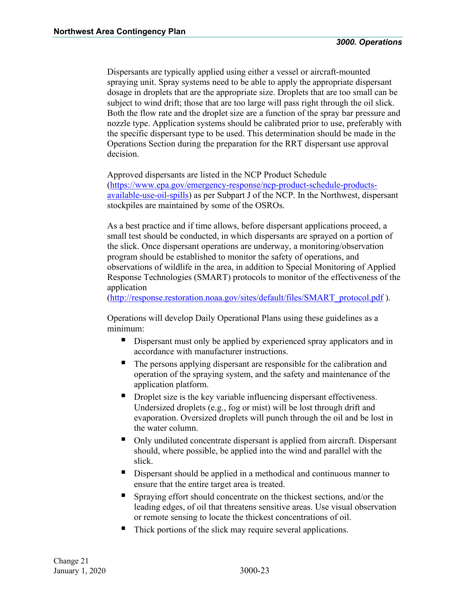Dispersants are typically applied using either a vessel or aircraft-mounted spraying unit. Spray systems need to be able to apply the appropriate dispersant dosage in droplets that are the appropriate size. Droplets that are too small can be subject to wind drift; those that are too large will pass right through the oil slick. Both the flow rate and the droplet size are a function of the spray bar pressure and nozzle type. Application systems should be calibrated prior to use, preferably with the specific dispersant type to be used. This determination should be made in the Operations Section during the preparation for the RRT dispersant use approval decision.

Approved dispersants are listed in the NCP Product Schedule [\(https://www.epa.gov/emergency-response/ncp-product-schedule-products](https://www.epa.gov/emergency-response/ncp-product-schedule-products-available-use-oil-spills)[available-use-oil-spills\)](https://www.epa.gov/emergency-response/ncp-product-schedule-products-available-use-oil-spills) as per Subpart J of the NCP. In the Northwest, dispersant stockpiles are maintained by some of the OSROs.

As a best practice and if time allows, before dispersant applications proceed, a small test should be conducted, in which dispersants are sprayed on a portion of the slick. Once dispersant operations are underway, a monitoring/observation program should be established to monitor the safety of operations, and observations of wildlife in the area, in addition to Special Monitoring of Applied Response Technologies (SMART) protocols to monitor of the effectiveness of the application

[\(http://response.restoration.noaa.gov/sites/default/files/SMART\\_protocol.pdf](http://response.restoration.noaa.gov/sites/default/files/SMART_protocol.pdf) ).

Operations will develop Daily Operational Plans using these guidelines as a minimum:

- Dispersant must only be applied by experienced spray applicators and in accordance with manufacturer instructions.
- The persons applying dispersant are responsible for the calibration and operation of the spraying system, and the safety and maintenance of the application platform.
- Droplet size is the key variable influencing dispersant effectiveness. Undersized droplets (e.g., fog or mist) will be lost through drift and evaporation. Oversized droplets will punch through the oil and be lost in the water column.
- Only undiluted concentrate dispersant is applied from aircraft. Dispersant should, where possible, be applied into the wind and parallel with the slick.
- Dispersant should be applied in a methodical and continuous manner to ensure that the entire target area is treated.
- Spraying effort should concentrate on the thickest sections, and/or the leading edges, of oil that threatens sensitive areas. Use visual observation or remote sensing to locate the thickest concentrations of oil.
- Thick portions of the slick may require several applications.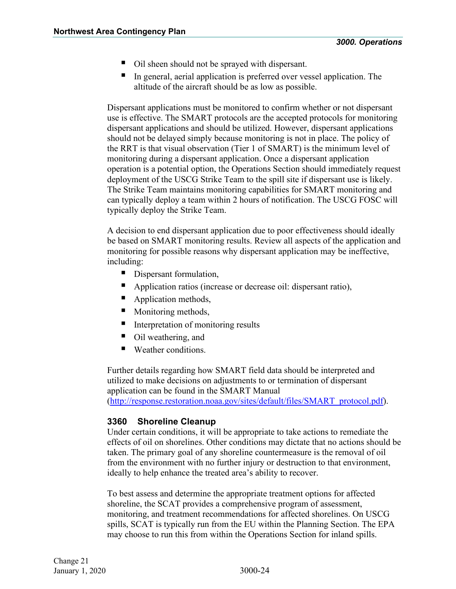- Oil sheen should not be sprayed with dispersant.
- In general, aerial application is preferred over vessel application. The altitude of the aircraft should be as low as possible.

Dispersant applications must be monitored to confirm whether or not dispersant use is effective. The SMART protocols are the accepted protocols for monitoring dispersant applications and should be utilized. However, dispersant applications should not be delayed simply because monitoring is not in place. The policy of the RRT is that visual observation (Tier 1 of SMART) is the minimum level of monitoring during a dispersant application. Once a dispersant application operation is a potential option, the Operations Section should immediately request deployment of the USCG Strike Team to the spill site if dispersant use is likely. The Strike Team maintains monitoring capabilities for SMART monitoring and can typically deploy a team within 2 hours of notification. The USCG FOSC will typically deploy the Strike Team.

A decision to end dispersant application due to poor effectiveness should ideally be based on SMART monitoring results. Review all aspects of the application and monitoring for possible reasons why dispersant application may be ineffective, including:

- Dispersant formulation,
- Application ratios (increase or decrease oil: dispersant ratio),
- Application methods,
- Monitoring methods,
- $\blacksquare$  Interpretation of monitoring results
- Oil weathering, and
- Weather conditions.

Further details regarding how SMART field data should be interpreted and utilized to make decisions on adjustments to or termination of dispersant application can be found in the SMART Manual [\(http://response.restoration.noaa.gov/sites/default/files/SMART\\_protocol.pdf\)](http://response.restoration.noaa.gov/sites/default/files/SMART_protocol.pdf).

# <span id="page-25-0"></span>**3360 Shoreline Cleanup**

Under certain conditions, it will be appropriate to take actions to remediate the effects of oil on shorelines. Other conditions may dictate that no actions should be taken. The primary goal of any shoreline countermeasure is the removal of oil from the environment with no further injury or destruction to that environment, ideally to help enhance the treated area's ability to recover.

To best assess and determine the appropriate treatment options for affected shoreline, the SCAT provides a comprehensive program of assessment, monitoring, and treatment recommendations for affected shorelines. On USCG spills, SCAT is typically run from the EU within the Planning Section. The EPA may choose to run this from within the Operations Section for inland spills.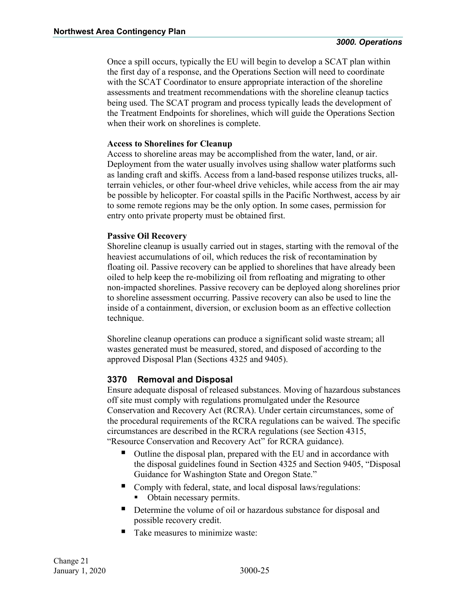Once a spill occurs, typically the EU will begin to develop a SCAT plan within the first day of a response, and the Operations Section will need to coordinate with the SCAT Coordinator to ensure appropriate interaction of the shoreline assessments and treatment recommendations with the shoreline cleanup tactics being used. The SCAT program and process typically leads the development of the Treatment Endpoints for shorelines, which will guide the Operations Section when their work on shorelines is complete.

#### **Access to Shorelines for Cleanup**

Access to shoreline areas may be accomplished from the water, land, or air. Deployment from the water usually involves using shallow water platforms such as landing craft and skiffs. Access from a land-based response utilizes trucks, allterrain vehicles, or other four-wheel drive vehicles, while access from the air may be possible by helicopter. For coastal spills in the Pacific Northwest, access by air to some remote regions may be the only option. In some cases, permission for entry onto private property must be obtained first.

### **Passive Oil Recovery**

Shoreline cleanup is usually carried out in stages, starting with the removal of the heaviest accumulations of oil, which reduces the risk of recontamination by floating oil. Passive recovery can be applied to shorelines that have already been oiled to help keep the re-mobilizing oil from refloating and migrating to other non-impacted shorelines. Passive recovery can be deployed along shorelines prior to shoreline assessment occurring. Passive recovery can also be used to line the inside of a containment, diversion, or exclusion boom as an effective collection technique.

Shoreline cleanup operations can produce a significant solid waste stream; all wastes generated must be measured, stored, and disposed of according to the approved Disposal Plan (Sections 4325 and 9405).

# <span id="page-26-0"></span>**3370 Removal and Disposal**

Ensure adequate disposal of released substances. Moving of hazardous substances off site must comply with regulations promulgated under the Resource Conservation and Recovery Act (RCRA). Under certain circumstances, some of the procedural requirements of the RCRA regulations can be waived. The specific circumstances are described in the RCRA regulations (see Section 4315, "Resource Conservation and Recovery Act" for RCRA guidance).

- Outline the disposal plan, prepared with the EU and in accordance with the disposal guidelines found in Section 4325 and Section 9405, "Disposal Guidance for Washington State and Oregon State."
- Comply with federal, state, and local disposal laws/regulations:
	- Obtain necessary permits.
- Determine the volume of oil or hazardous substance for disposal and possible recovery credit.
- Take measures to minimize waste: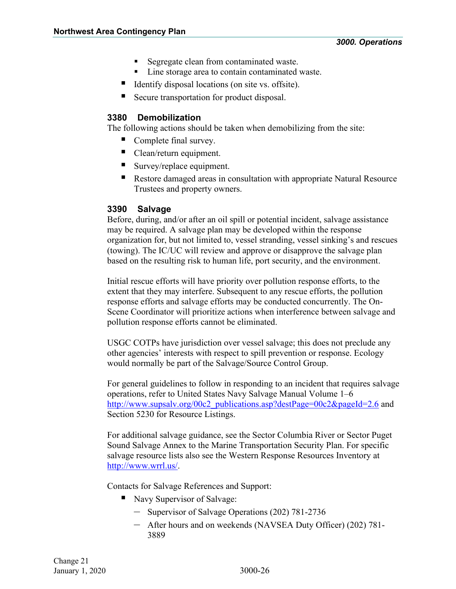- Segregate clean from contaminated waste.
- **Line storage area to contain contaminated waste.**
- Identify disposal locations (on site vs. offsite).
- Secure transportation for product disposal.

# <span id="page-27-0"></span>**3380 Demobilization**

The following actions should be taken when demobilizing from the site:

- Complete final survey.
- Clean/return equipment.
- Survey/replace equipment.
- Restore damaged areas in consultation with appropriate Natural Resource Trustees and property owners.

# <span id="page-27-1"></span>**3390 Salvage**

Before, during, and/or after an oil spill or potential incident, salvage assistance may be required. A salvage plan may be developed within the response organization for, but not limited to, vessel stranding, vessel sinking's and rescues (towing). The IC/UC will review and approve or disapprove the salvage plan based on the resulting risk to human life, port security, and the environment.

Initial rescue efforts will have priority over pollution response efforts, to the extent that they may interfere. Subsequent to any rescue efforts, the pollution response efforts and salvage efforts may be conducted concurrently. The On-Scene Coordinator will prioritize actions when interference between salvage and pollution response efforts cannot be eliminated.

USGC COTPs have jurisdiction over vessel salvage; this does not preclude any other agencies' interests with respect to spill prevention or response. Ecology would normally be part of the Salvage/Source Control Group.

For general guidelines to follow in responding to an incident that requires salvage operations, refer to United States Navy Salvage Manual Volume 1–6 [http://www.supsalv.org/00c2\\_publications.asp?destPage=00c2&pageId=2.6](http://www.supsalv.org/00c2_publications.asp?destPage=00c2&pageId=2.6) and Section 5230 for Resource Listings.

For additional salvage guidance, see the Sector Columbia River or Sector Puget Sound Salvage Annex to the Marine Transportation Security Plan. For specific salvage resource lists also see the Western Response Resources Inventory at [http://www.wrrl.us/.](http://www.wrrl.us/)

Contacts for Salvage References and Support:

- Navy Supervisor of Salvage:
	- Supervisor of Salvage Operations (202) 781-2736
	- After hours and on weekends (NAVSEA Duty Officer) (202) 781- 3889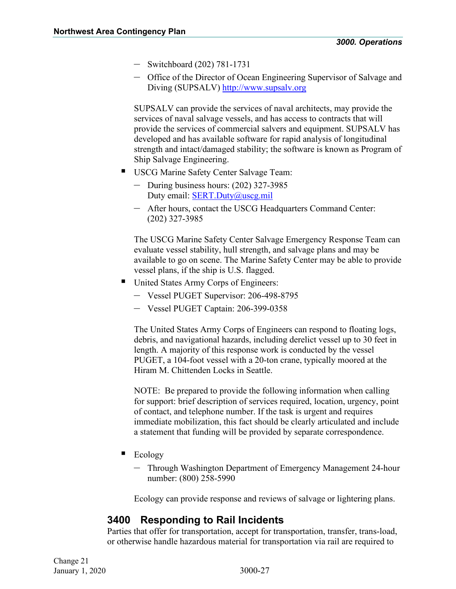- Switchboard (202) 781-1731
- Office of the Director of Ocean Engineering Supervisor of Salvage and Diving (SUPSALV) [http://www.supsalv.org](http://www.supsalv.org/)

SUPSALV can provide the services of naval architects, may provide the services of naval salvage vessels, and has access to contracts that will provide the services of commercial salvers and equipment. SUPSALV has developed and has available software for rapid analysis of longitudinal strength and intact/damaged stability; the software is known as Program of Ship Salvage Engineering.

- USCG Marine Safety Center Salvage Team:
	- During business hours: (202) 327-3985 Duty email: **SERT.Duty@uscg.mil**
	- After hours, contact the USCG Headquarters Command Center: (202) 327-3985

The USCG Marine Safety Center Salvage Emergency Response Team can evaluate vessel stability, hull strength, and salvage plans and may be available to go on scene. The Marine Safety Center may be able to provide vessel plans, if the ship is U.S. flagged.

- United States Army Corps of Engineers:
	- Vessel PUGET Supervisor: 206-498-8795
	- Vessel PUGET Captain: 206-399-0358

The United States Army Corps of Engineers can respond to floating logs, debris, and navigational hazards, including derelict vessel up to 30 feet in length. A majority of this response work is conducted by the vessel PUGET, a 104-foot vessel with a 20-ton crane, typically moored at the Hiram M. Chittenden Locks in Seattle.

NOTE: Be prepared to provide the following information when calling for support: brief description of services required, location, urgency, point of contact, and telephone number. If the task is urgent and requires immediate mobilization, this fact should be clearly articulated and include a statement that funding will be provided by separate correspondence.

- $\blacksquare$  Ecology
	- Through Washington Department of Emergency Management 24-hour number: (800) 258-5990

Ecology can provide response and reviews of salvage or lightering plans.

# <span id="page-28-0"></span>**3400 Responding to Rail Incidents**

Parties that offer for transportation, accept for transportation, transfer, trans-load, or otherwise handle hazardous material for transportation via rail are required to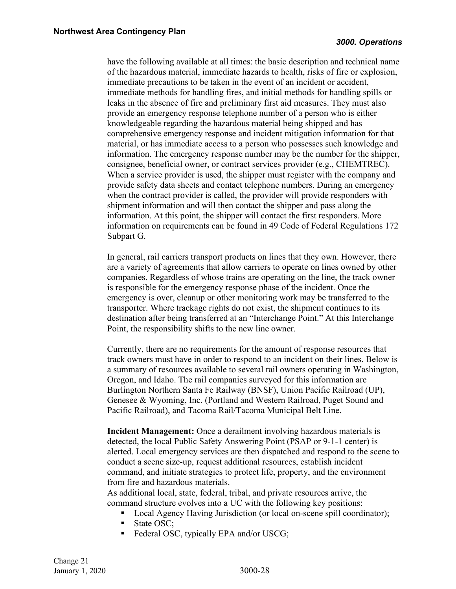have the following available at all times: the basic description and technical name of the hazardous material, immediate hazards to health, risks of fire or explosion, immediate precautions to be taken in the event of an incident or accident, immediate methods for handling fires, and initial methods for handling spills or leaks in the absence of fire and preliminary first aid measures. They must also provide an emergency response telephone number of a person who is either knowledgeable regarding the hazardous material being shipped and has comprehensive emergency response and incident mitigation information for that material, or has immediate access to a person who possesses such knowledge and information. The emergency response number may be the number for the shipper, consignee, beneficial owner, or contract services provider (e.g., CHEMTREC). When a service provider is used, the shipper must register with the company and provide safety data sheets and contact telephone numbers. During an emergency when the contract provider is called, the provider will provide responders with shipment information and will then contact the shipper and pass along the information. At this point, the shipper will contact the first responders. More information on requirements can be found in 49 Code of Federal Regulations 172 Subpart G.

In general, rail carriers transport products on lines that they own. However, there are a variety of agreements that allow carriers to operate on lines owned by other companies. Regardless of whose trains are operating on the line, the track owner is responsible for the emergency response phase of the incident. Once the emergency is over, cleanup or other monitoring work may be transferred to the transporter. Where trackage rights do not exist, the shipment continues to its destination after being transferred at an "Interchange Point." At this Interchange Point, the responsibility shifts to the new line owner.

Currently, there are no requirements for the amount of response resources that track owners must have in order to respond to an incident on their lines. Below is a summary of resources available to several rail owners operating in Washington, Oregon, and Idaho. The rail companies surveyed for this information are Burlington Northern Santa Fe Railway (BNSF), Union Pacific Railroad (UP), Genesee & Wyoming, Inc. (Portland and Western Railroad, Puget Sound and Pacific Railroad), and Tacoma Rail/Tacoma Municipal Belt Line.

**Incident Management:** Once a derailment involving hazardous materials is detected, the local Public Safety Answering Point (PSAP or 9-1-1 center) is alerted. Local emergency services are then dispatched and respond to the scene to conduct a scene size-up, request additional resources, establish incident command, and initiate strategies to protect life, property, and the environment from fire and hazardous materials.

As additional local, state, federal, tribal, and private resources arrive, the command structure evolves into a UC with the following key positions:

- Local Agency Having Jurisdiction (or local on-scene spill coordinator);
- State OSC;
- Federal OSC, typically EPA and/or USCG;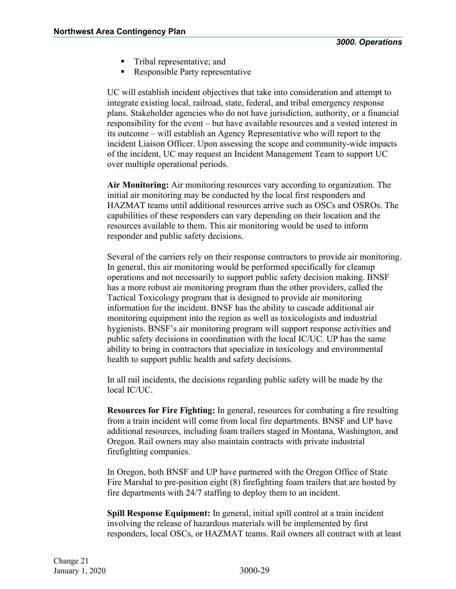- **Tribal representative; and**
- Responsible Party representative

UC will establish incident objectives that take into consideration and attempt to integrate existing local, railroad, state, federal, and tribal emergency response plans. Stakeholder agencies who do not have jurisdiction, authority, or a financial responsibility for the event – but have available resources and a vested interest in its outcome – will establish an Agency Representative who will report to the incident Liaison Officer. Upon assessing the scope and community-wide impacts of the incident, UC may request an Incident Management Team to support UC over multiple operational periods.

**Air Monitoring:** Air monitoring resources vary according to organization. The initial air monitoring may be conducted by the local first responders and HAZMAT teams until additional resources arrive such as OSCs and OSROs. The capabilities of these responders can vary depending on their location and the resources available to them. This air monitoring would be used to inform responder and public safety decisions.

Several of the carriers rely on their response contractors to provide air monitoring. In general, this air monitoring would be performed specifically for cleanup operations and not necessarily to support public safety decision making. BNSF has a more robust air monitoring program than the other providers, called the Tactical Toxicology program that is designed to provide air monitoring information for the incident. BNSF has the ability to cascade additional air monitoring equipment into the region as well as toxicologists and industrial hygienists. BNSF's air monitoring program will support response activities and public safety decisions in coordination with the local IC/UC. UP has the same ability to bring in contractors that specialize in toxicology and environmental health to support public health and safety decisions.

In all rail incidents, the decisions regarding public safety will be made by the local IC/UC.

**Resources for Fire Fighting:** In general, resources for combating a fire resulting from a train incident will come from local fire departments. BNSF and UP have additional resources, including foam trailers staged in Montana, Washington, and Oregon. Rail owners may also maintain contracts with private industrial firefighting companies.

In Oregon, both BNSF and UP have partnered with the Oregon Office of State Fire Marshal to pre-position eight (8) firefighting foam trailers that are hosted by fire departments with 24/7 staffing to deploy them to an incident.

**Spill Response Equipment:** In general, initial spill control at a train incident involving the release of hazardous materials will be implemented by first responders, local OSCs, or HAZMAT teams. Rail owners all contract with at least